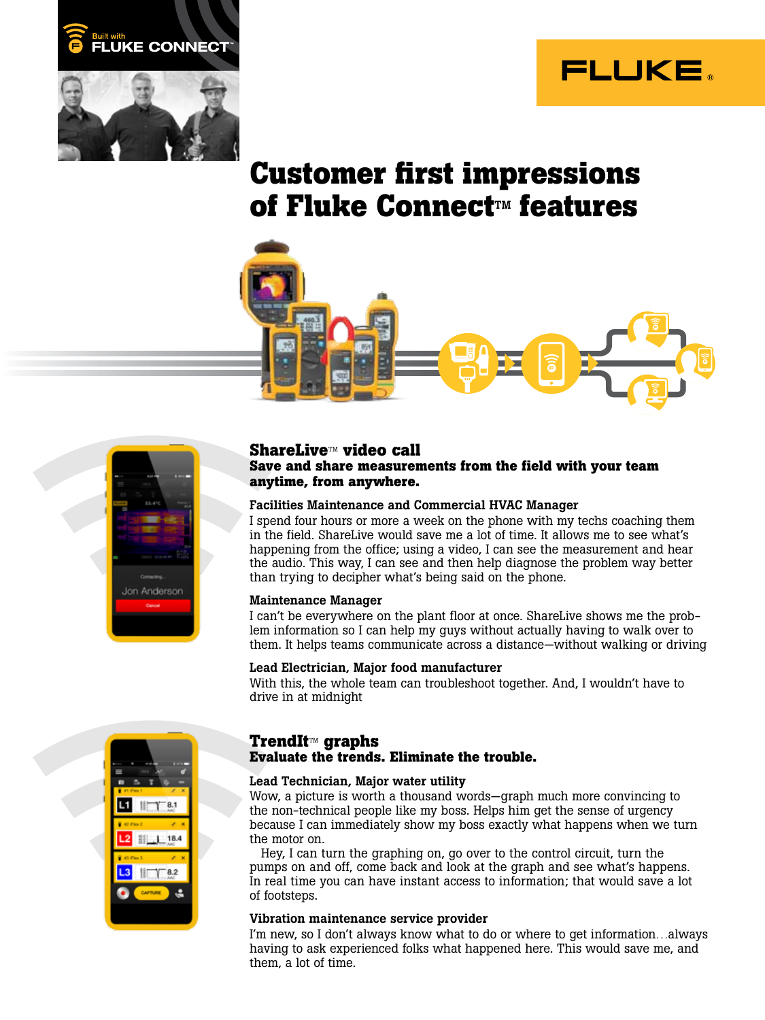



# **Customer first impressions of Fluke Connect<sup>™</sup> features**





# **ShareLive**TM **video call Save and share measurements from the field with your team anytime, from anywhere.**

## Facilities Maintenance and Commercial HVAC Manager

I spend four hours or more a week on the phone with my techs coaching them in the field. ShareLive would save me a lot of time. It allows me to see what's happening from the office; using a video, I can see the measurement and hear the audio. This way, I can see and then help diagnose the problem way better than trying to decipher what's being said on the phone.

#### Maintenance Manager

I can't be everywhere on the plant floor at once. ShareLive shows me the problem information so I can help my guys without actually having to walk over to them. It helps teams communicate across a distance—without walking or driving

#### Lead Electrician, Major food manufacturer

With this, the whole team can troubleshoot together. And, I wouldn't have to drive in at midnight



# **TrendIt**TM **graphs Evaluate the trends. Eliminate the trouble.**

#### Lead Technician, Major water utility

Wow, a picture is worth a thousand words—graph much more convincing to the non-technical people like my boss. Helps him get the sense of urgency because I can immediately show my boss exactly what happens when we turn the motor on.

Hey, I can turn the graphing on, go over to the control circuit, turn the pumps on and off, come back and look at the graph and see what's happens. In real time you can have instant access to information; that would save a lot of footsteps.

#### Vibration maintenance service provider

I'm new, so I don't always know what to do or where to get information…always having to ask experienced folks what happened here. This would save me, and them, a lot of time.